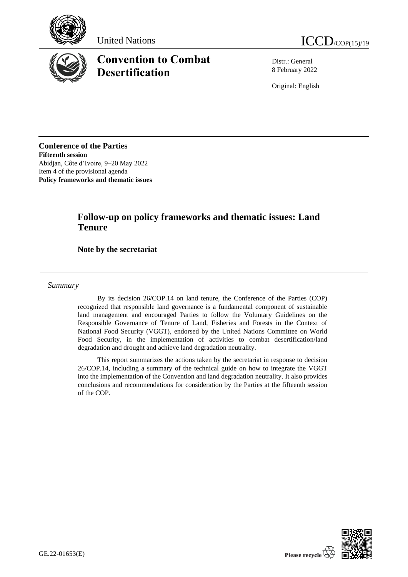





# **Convention to Combat Desertification**

Distr.: General 8 February 2022

Original: English

**Conference of the Parties Fifteenth session** Abidjan, Côte d'Ivoire, 9–20 May 2022 Item 4 of the provisional agenda **Policy frameworks and thematic issues**

## **Follow-up on policy frameworks and thematic issues: Land Tenure**

### **Note by the secretariat**

*Summary*

By its decision 26/COP.14 on land tenure, the Conference of the Parties (COP) recognized that responsible land governance is a fundamental component of sustainable land management and encouraged Parties to follow the Voluntary Guidelines on the Responsible Governance of Tenure of Land, Fisheries and Forests in the Context of National Food Security (VGGT), endorsed by the United Nations Committee on World Food Security, in the implementation of activities to combat desertification/land degradation and drought and achieve land degradation neutrality.

This report summarizes the actions taken by the secretariat in response to decision 26/COP.14, including a summary of the technical guide on how to integrate the VGGT into the implementation of the Convention and land degradation neutrality. It also provides conclusions and recommendations for consideration by the Parties at the fifteenth session of the COP.

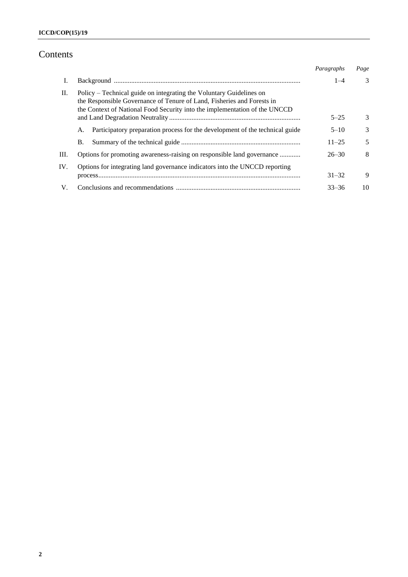## Contents

|     |                                                                                                                                                                                                                             | Paragraphs | Page          |
|-----|-----------------------------------------------------------------------------------------------------------------------------------------------------------------------------------------------------------------------------|------------|---------------|
| Ι.  |                                                                                                                                                                                                                             | $1 - 4$    | $\mathcal{E}$ |
| П.  | Policy – Technical guide on integrating the Voluntary Guidelines on<br>the Responsible Governance of Tenure of Land, Fisheries and Forests in<br>the Context of National Food Security into the implementation of the UNCCD |            |               |
|     |                                                                                                                                                                                                                             | $5 - 25$   | 3             |
|     | Participatory preparation process for the development of the technical guide<br>А.                                                                                                                                          | $5 - 10$   | $\mathcal{E}$ |
|     | <b>B.</b>                                                                                                                                                                                                                   | $11 - 25$  | 5             |
| Ш.  | Options for promoting awareness-raising on responsible land governance                                                                                                                                                      | $26 - 30$  | 8             |
| IV. | Options for integrating land governance indicators into the UNCCD reporting                                                                                                                                                 |            |               |
|     |                                                                                                                                                                                                                             | $31 - 32$  | 9             |
| V.  |                                                                                                                                                                                                                             | $33 - 36$  | 10            |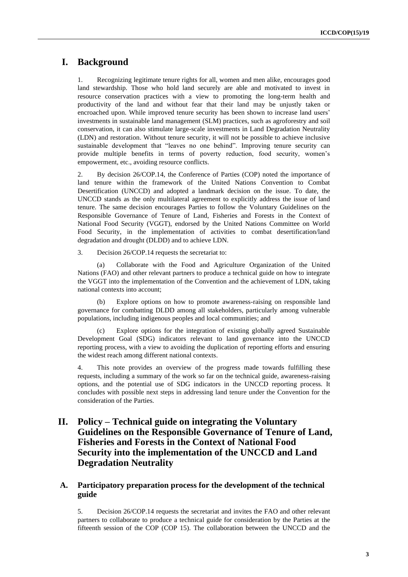## **I. Background**

1. Recognizing legitimate tenure rights for all, women and men alike, encourages good land stewardship. Those who hold land securely are able and motivated to invest in resource conservation practices with a view to promoting the long-term health and productivity of the land and without fear that their land may be unjustly taken or encroached upon. While improved tenure security has been shown to increase land users' investments in sustainable land management (SLM) practices, such as agroforestry and soil conservation, it can also stimulate large-scale investments in Land Degradation Neutrality (LDN) and restoration. Without tenure security, it will not be possible to achieve inclusive sustainable development that "leaves no one behind". Improving tenure security can provide multiple benefits in terms of poverty reduction, food security, women's empowerment, etc., avoiding resource conflicts.

2. By decision 26/COP.14, the Conference of Parties (COP) noted the importance of land tenure within the framework of the United Nations Convention to Combat Desertification (UNCCD) and adopted a landmark decision on the issue. To date, the UNCCD stands as the only multilateral agreement to explicitly address the issue of land tenure. The same decision encourages Parties to follow the Voluntary Guidelines on the Responsible Governance of Tenure of Land, Fisheries and Forests in the Context of National Food Security (VGGT), endorsed by the United Nations Committee on World Food Security, in the implementation of activities to combat desertification/land degradation and drought (DLDD) and to achieve LDN.

3. Decision 26/COP.14 requests the secretariat to:

(a) Collaborate with the Food and Agriculture Organization of the United Nations (FAO) and other relevant partners to produce a technical guide on how to integrate the VGGT into the implementation of the Convention and the achievement of LDN, taking national contexts into account;

(b) Explore options on how to promote awareness-raising on responsible land governance for combatting DLDD among all stakeholders, particularly among vulnerable populations, including indigenous peoples and local communities; and

(c) Explore options for the integration of existing globally agreed Sustainable Development Goal (SDG) indicators relevant to land governance into the UNCCD reporting process, with a view to avoiding the duplication of reporting efforts and ensuring the widest reach among different national contexts.

4. This note provides an overview of the progress made towards fulfilling these requests, including a summary of the work so far on the technical guide, awareness-raising options, and the potential use of SDG indicators in the UNCCD reporting process. It concludes with possible next steps in addressing land tenure under the Convention for the consideration of the Parties.

## **II. Policy – Technical guide on integrating the Voluntary Guidelines on the Responsible Governance of Tenure of Land, Fisheries and Forests in the Context of National Food Security into the implementation of the UNCCD and Land Degradation Neutrality**

#### **A. Participatory preparation process for the development of the technical guide**

5. Decision 26/COP.14 requests the secretariat and invites the FAO and other relevant partners to collaborate to produce a technical guide for consideration by the Parties at the fifteenth session of the COP (COP 15). The collaboration between the UNCCD and the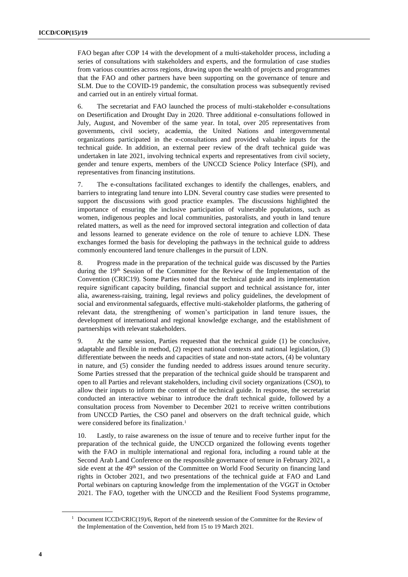FAO began after COP 14 with the development of a multi-stakeholder process, including a series of consultations with stakeholders and experts, and the formulation of case studies from various countries across regions, drawing upon the wealth of projects and programmes that the FAO and other partners have been supporting on the governance of tenure and SLM. Due to the COVID-19 pandemic, the consultation process was subsequently revised and carried out in an entirely virtual format.

6. The secretariat and FAO launched the process of multi-stakeholder e-consultations on Desertification and Drought Day in 2020. Three additional e-consultations followed in July, August, and November of the same year. In total, over 205 representatives from governments, civil society, academia, the United Nations and intergovernmental organizations participated in the e-consultations and provided valuable inputs for the technical guide. In addition, an external peer review of the draft technical guide was undertaken in late 2021, involving technical experts and representatives from civil society, gender and tenure experts, members of the UNCCD Science Policy Interface (SPI), and representatives from financing institutions.

7. The e-consultations facilitated exchanges to identify the challenges, enablers, and barriers to integrating land tenure into LDN. Several country case studies were presented to support the discussions with good practice examples. The discussions highlighted the importance of ensuring the inclusive participation of vulnerable populations, such as women, indigenous peoples and local communities, pastoralists, and youth in land tenure related matters, as well as the need for improved sectoral integration and collection of data and lessons learned to generate evidence on the role of tenure to achieve LDN. These exchanges formed the basis for developing the pathways in the technical guide to address commonly encountered land tenure challenges in the pursuit of LDN.

8. Progress made in the preparation of the technical guide was discussed by the Parties during the  $19<sup>th</sup>$  Session of the Committee for the Review of the Implementation of the Convention (CRIC19). Some Parties noted that the technical guide and its implementation require significant capacity building, financial support and technical assistance for, inter alia, awareness-raising, training, legal reviews and policy guidelines, the development of social and environmental safeguards, effective multi-stakeholder platforms, the gathering of relevant data, the strengthening of women's participation in land tenure issues, the development of international and regional knowledge exchange, and the establishment of partnerships with relevant stakeholders.

9. At the same session, Parties requested that the technical guide (1) be conclusive, adaptable and flexible in method, (2) respect national contexts and national legislation, (3) differentiate between the needs and capacities of state and non-state actors, (4) be voluntary in nature, and (5) consider the funding needed to address issues around tenure security. Some Parties stressed that the preparation of the technical guide should be transparent and open to all Parties and relevant stakeholders, including civil society organizations (CSO), to allow their inputs to inform the content of the technical guide. In response, the secretariat conducted an interactive webinar to introduce the draft technical guide, followed by a consultation process from November to December 2021 to receive written contributions from UNCCD Parties, the CSO panel and observers on the draft technical guide, which were considered before its finalization.<sup>1</sup>

10. Lastly, to raise awareness on the issue of tenure and to receive further input for the preparation of the technical guide, the UNCCD organized the following events together with the FAO in multiple international and regional fora, including a round table at the Second Arab Land Conference on the responsible governance of tenure in February 2021, a side event at the 49<sup>th</sup> session of the Committee on World Food Security on financing land rights in October 2021, and two presentations of the technical guide at FAO and Land Portal webinars on capturing knowledge from the implementation of the VGGT in October 2021. The FAO, together with the UNCCD and the Resilient Food Systems programme,

<sup>&</sup>lt;sup>1</sup> Document ICCD/CRIC(19)/6, Report of the nineteenth session of the Committee for the Review of the Implementation of the Convention, held from 15 to 19 March 2021.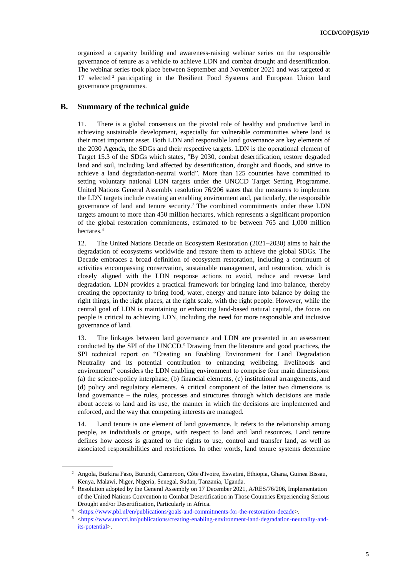organized a capacity building and awareness-raising webinar series on the responsible governance of tenure as a vehicle to achieve LDN and combat drought and desertification. The webinar series took place between September and November 2021 and was targeted at 17 selected <sup>2</sup> participating in the Resilient Food Systems and European Union land governance programmes.

#### **B. Summary of the technical guide**

11. There is a global consensus on the pivotal role of healthy and productive land in achieving sustainable development, especially for vulnerable communities where land is their most important asset. Both LDN and responsible land governance are key elements of the 2030 Agenda, the SDGs and their respective targets. LDN is the operational element of Target 15.3 of the SDGs which states, "By 2030, combat desertification, restore degraded land and soil, including land affected by desertification, drought and floods, and strive to achieve a land degradation-neutral world". More than 125 countries have committed to setting voluntary national LDN targets under the UNCCD Target Setting Programme. United Nations General Assembly resolution 76/206 states that the measures to implement the LDN targets include creating an enabling environment and, particularly, the responsible governance of land and tenure security.<sup>3</sup> The combined commitments under these LDN targets amount to more than 450 million hectares, which represents a significant proportion of the global restoration commitments, estimated to be between 765 and 1,000 million hectares.<sup>4</sup>

12. The United Nations Decade on Ecosystem Restoration (2021–2030) aims to halt the degradation of ecosystems worldwide and restore them to achieve the global SDGs. The Decade embraces a broad definition of ecosystem restoration, including a continuum of activities encompassing conservation, sustainable management, and restoration, which is closely aligned with the LDN response actions to avoid, reduce and reverse land degradation. LDN provides a practical framework for bringing land into balance, thereby creating the opportunity to bring food, water, energy and nature into balance by doing the right things, in the right places, at the right scale, with the right people. However, while the central goal of LDN is maintaining or enhancing land-based natural capital, the focus on people is critical to achieving LDN, including the need for more responsible and inclusive governance of land.

13. The linkages between land governance and LDN are presented in an assessment conducted by the SPI of the UNCCD.<sup>5</sup> Drawing from the literature and good practices, the SPI technical report on "Creating an Enabling Environment for Land Degradation Neutrality and its potential contribution to enhancing wellbeing, livelihoods and environment" considers the LDN enabling environment to comprise four main dimensions: (a) the science-policy interphase, (b) financial elements, (c) institutional arrangements, and (d) policy and regulatory elements. A critical component of the latter two dimensions is land governance – the rules, processes and structures through which decisions are made about access to land and its use, the manner in which the decisions are implemented and enforced, and the way that competing interests are managed.

14. Land tenure is one element of land governance. It refers to the relationship among people, as individuals or groups, with respect to land and land resources. Land tenure defines how access is granted to the rights to use, control and transfer land, as well as associated responsibilities and restrictions. In other words, land tenure systems determine

<sup>2</sup> Angola, Burkina Faso, Burundi, Cameroon, Côte d'Ivoire, Eswatini, Ethiopia, Ghana, Guinea Bissau, Kenya, Malawi, Niger, Nigeria, Senegal, Sudan, Tanzania, Uganda.

<sup>&</sup>lt;sup>3</sup> Resolution adopted by the General Assembly on 17 December 2021, A/RES/76/206, Implementation of the United Nations Convention to Combat Desertification in Those Countries Experiencing Serious Drought and/or Desertification, Particularly in Africa.

<sup>4</sup> [<https://www.pbl.nl/en/publications/goals-and-commitments-for-the-restoration-decade>](https://www.pbl.nl/en/publications/goals-and-commitments-for-the-restoration-decade).

<sup>5</sup> [<https://www.unccd.int/publications/creating-enabling-environment-land-degradation-neutrality-and](https://www.unccd.int/publications/creating-enabling-environment-land-degradation-neutrality-and-its-potential)[its-potential>](https://www.unccd.int/publications/creating-enabling-environment-land-degradation-neutrality-and-its-potential).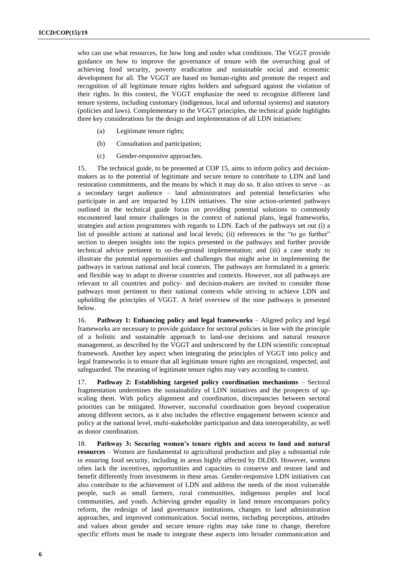who can use what resources, for how long and under what conditions. The VGGT provide guidance on how to improve the governance of tenure with the overarching goal of achieving food security, poverty eradication and sustainable social and economic development for all. The VGGT are based on human-rights and promote the respect and recognition of all legitimate tenure rights holders and safeguard against the violation of their rights. In this context, the VGGT emphasize the need to recognize different land tenure systems, including customary (indigenous, local and informal systems) and statutory (policies and laws). Complementary to the VGGT principles, the technical guide highlights three key considerations for the design and implementation of all LDN initiatives:

- (a) Legitimate tenure rights;
- (b) Consultation and participation;
- (c) Gender-responsive approaches.

15. The technical guide, to be presented at COP 15, aims to inform policy and decisionmakers as to the potential of legitimate and secure tenure to contribute to LDN and land restoration commitments, and the means by which it may do so. It also strives to serve – as a secondary target audience – land administrators and potential beneficiaries who participate in and are impacted by LDN initiatives. The nine action-oriented pathways outlined in the technical guide focus on providing potential solutions to commonly encountered land tenure challenges in the context of national plans, legal frameworks, strategies and action programmes with regards to LDN. Each of the pathways set out (i) a list of possible actions at national and local levels; (ii) references in the "to go further" section to deepen insights into the topics presented in the pathways and further provide technical advice pertinent to on-the-ground implementation; and (iii) a case study to illustrate the potential opportunities and challenges that might arise in implementing the pathways in various national and local contexts. The pathways are formulated in a generic and flexible way to adapt to diverse countries and contexts. However, not all pathways are relevant to all countries and policy- and decision-makers are invited to consider those pathways most pertinent to their national contexts while striving to achieve LDN and upholding the principles of VGGT. A brief overview of the nine pathways is presented below.

16. **Pathway 1: Enhancing policy and legal frameworks** – Aligned policy and legal frameworks are necessary to provide guidance for sectoral policies in line with the principle of a holistic and sustainable approach to land-use decisions and natural resource management, as described by the VGGT and underscored by the LDN scientific conceptual framework. Another key aspect when integrating the principles of VGGT into policy and legal frameworks is to ensure that all legitimate tenure rights are recognized, respected, and safeguarded. The meaning of legitimate tenure rights may vary according to context.

17. **Pathway 2: Establishing targeted policy coordination mechanisms** – Sectoral fragmentation undermines the sustainability of LDN initiatives and the prospects of upscaling them. With policy alignment and coordination, discrepancies between sectoral priorities can be mitigated. However, successful coordination goes beyond cooperation among different sectors, as it also includes the effective engagement between science and policy at the national level, multi-stakeholder participation and data interoperability, as well as donor coordination.

18. **Pathway 3: Securing women's tenure rights and access to land and natural resources** – Women are fundamental to agricultural production and play a substantial role in ensuring food security, including in areas highly affected by DLDD. However, women often lack the incentives, opportunities and capacities to conserve and restore land and benefit differently from investments in these areas. Gender-responsive LDN initiatives can also contribute to the achievement of LDN and address the needs of the most vulnerable people, such as small farmers, rural communities, indigenous peoples and local communities, and youth. Achieving gender equality in land tenure encompasses policy reform, the redesign of land governance institutions, changes to land administration approaches, and improved communication. Social norms, including perceptions, attitudes and values about gender and secure tenure rights may take time to change, therefore specific efforts must be made to integrate these aspects into broader communication and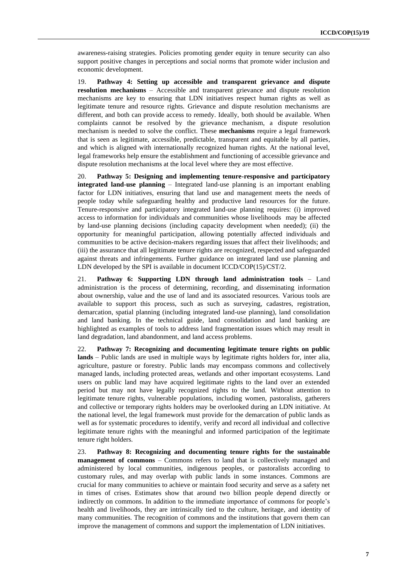awareness-raising strategies. Policies promoting gender equity in tenure security can also support positive changes in perceptions and social norms that promote wider inclusion and economic development.

19. **Pathway 4: Setting up accessible and transparent grievance and dispute resolution mechanisms** – Accessible and transparent grievance and dispute resolution mechanisms are key to ensuring that LDN initiatives respect human rights as well as legitimate tenure and resource rights. Grievance and dispute resolution mechanisms are different, and both can provide access to remedy. Ideally, both should be available. When complaints cannot be resolved by the grievance mechanism, a dispute resolution mechanism is needed to solve the conflict. These **mechanisms** require a legal framework that is seen as legitimate, accessible, predictable, transparent and equitable by all parties, and which is aligned with internationally recognized human rights. At the national level, legal frameworks help ensure the establishment and functioning of accessible grievance and dispute resolution mechanisms at the local level where they are most effective.

20. **Pathway 5: Designing and implementing tenure-responsive and participatory integrated land-use planning** – Integrated land-use planning is an important enabling factor for LDN initiatives, ensuring that land use and management meets the needs of people today while safeguarding healthy and productive land resources for the future. Tenure-responsive and participatory integrated land-use planning requires: (i) improved access to information for individuals and communities whose livelihoods may be affected by land-use planning decisions (including capacity development when needed); (ii) the opportunity for meaningful participation, allowing potentially affected individuals and communities to be active decision-makers regarding issues that affect their livelihoods; and (iii) the assurance that all legitimate tenure rights are recognized, respected and safeguarded against threats and infringements. Further guidance on integrated land use planning and LDN developed by the SPI is available in document ICCD/COP(15)/CST/2.

21. **Pathway 6: Supporting LDN through land administration tools** – Land administration is the process of determining, recording, and disseminating information about ownership, value and the use of land and its associated resources. Various tools are available to support this process, such as such as surveying, cadastres, registration, demarcation, spatial planning (including integrated land-use planning), land consolidation and land banking. In the technical guide, land consolidation and land banking are highlighted as examples of tools to address land fragmentation issues which may result in land degradation, land abandonment, and land access problems.

22. **Pathway 7: Recognizing and documenting legitimate tenure rights on public lands** – Public lands are used in multiple ways by legitimate rights holders for, inter alia, agriculture, pasture or forestry. Public lands may encompass commons and collectively managed lands, including protected areas, wetlands and other important ecosystems. Land users on public land may have acquired legitimate rights to the land over an extended period but may not have legally recognized rights to the land. Without attention to legitimate tenure rights, vulnerable populations, including women, pastoralists, gatherers and collective or temporary rights holders may be overlooked during an LDN initiative. At the national level, the legal framework must provide for the demarcation of public lands as well as for systematic procedures to identify, verify and record all individual and collective legitimate tenure rights with the meaningful and informed participation of the legitimate tenure right holders.

23. **Pathway 8: Recognizing and documenting tenure rights for the sustainable management of commons** – Commons refers to land that is collectively managed and administered by local communities, indigenous peoples, or pastoralists according to customary rules, and may overlap with public lands in some instances. Commons are crucial for many communities to achieve or maintain food security and serve as a safety net in times of crises. Estimates show that around two billion people depend directly or indirectly on commons. In addition to the immediate importance of commons for people's health and livelihoods, they are intrinsically tied to the culture, heritage, and identity of many communities. The recognition of commons and the institutions that govern them can improve the management of commons and support the implementation of LDN initiatives.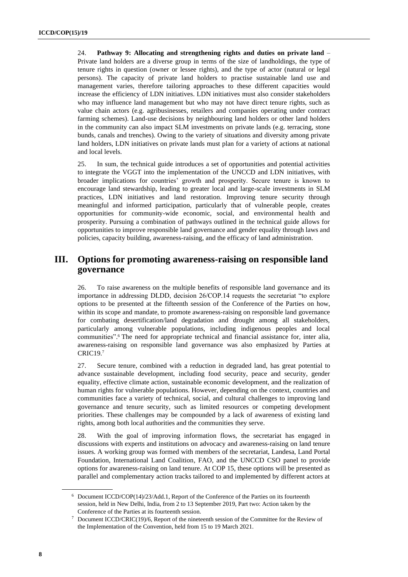24. **Pathway 9: Allocating and strengthening rights and duties on private land** – Private land holders are a diverse group in terms of the size of landholdings, the type of tenure rights in question (owner or lessee rights), and the type of actor (natural or legal persons). The capacity of private land holders to practise sustainable land use and management varies, therefore tailoring approaches to these different capacities would increase the efficiency of LDN initiatives. LDN initiatives must also consider stakeholders who may influence land management but who may not have direct tenure rights, such as value chain actors (e.g. agribusinesses, retailers and companies operating under contract farming schemes). Land-use decisions by neighbouring land holders or other land holders in the community can also impact SLM investments on private lands (e.g. terracing, stone bunds, canals and trenches). Owing to the variety of situations and diversity among private land holders, LDN initiatives on private lands must plan for a variety of actions at national and local levels.

25. In sum, the technical guide introduces a set of opportunities and potential activities to integrate the VGGT into the implementation of the UNCCD and LDN initiatives, with broader implications for countries' growth and prosperity. Secure tenure is known to encourage land stewardship, leading to greater local and large-scale investments in SLM practices, LDN initiatives and land restoration. Improving tenure security through meaningful and informed participation, particularly that of vulnerable people, creates opportunities for community-wide economic, social, and environmental health and prosperity. Pursuing a combination of pathways outlined in the technical guide allows for opportunities to improve responsible land governance and gender equality through laws and policies, capacity building, awareness-raising, and the efficacy of land administration.

## **III. Options for promoting awareness-raising on responsible land governance**

26. To raise awareness on the multiple benefits of responsible land governance and its importance in addressing DLDD, decision 26/COP.14 requests the secretariat "to explore options to be presented at the fifteenth session of the Conference of the Parties on how, within its scope and mandate, to promote awareness-raising on responsible land governance for combating desertification/land degradation and drought among all stakeholders, particularly among vulnerable populations, including indigenous peoples and local communities". <sup>6</sup> The need for appropriate technical and financial assistance for, inter alia, awareness-raising on responsible land governance was also emphasized by Parties at CRIC19.<sup>7</sup>

27. Secure tenure, combined with a reduction in degraded land, has great potential to advance sustainable development, including food security, peace and security, gender equality, effective climate action, sustainable economic development, and the realization of human rights for vulnerable populations. However, depending on the context, countries and communities face a variety of technical, social, and cultural challenges to improving land governance and tenure security, such as limited resources or competing development priorities. These challenges may be compounded by a lack of awareness of existing land rights, among both local authorities and the communities they serve.

28. With the goal of improving information flows, the secretariat has engaged in discussions with experts and institutions on advocacy and awareness-raising on land tenure issues. A working group was formed with members of the secretariat, Landesa, Land Portal Foundation, International Land Coalition, FAO, and the UNCCD CSO panel to provide options for awareness-raising on land tenure. At COP 15, these options will be presented as parallel and complementary action tracks tailored to and implemented by different actors at

<sup>6</sup> Document ICCD/COP(14)/23/Add.1, Report of the Conference of the Parties on its fourteenth session, held in New Delhi, India, from 2 to 13 September 2019, Part two: Action taken by the Conference of the Parties at its fourteenth session.

Document ICCD/CRIC(19)/6, Report of the nineteenth session of the Committee for the Review of the Implementation of the Convention, held from 15 to 19 March 2021.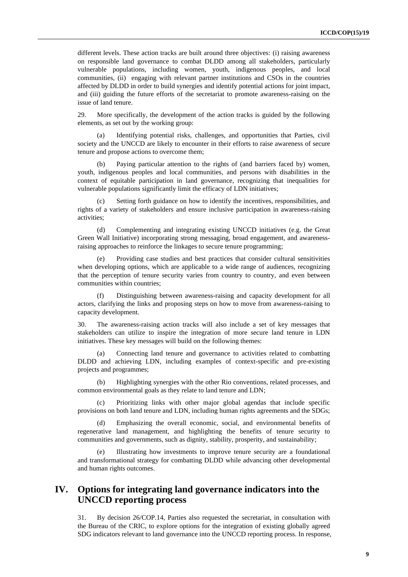different levels. These action tracks are built around three objectives: (i) raising awareness on responsible land governance to combat DLDD among all stakeholders, particularly vulnerable populations, including women, youth, indigenous peoples, and local communities, (ii) engaging with relevant partner institutions and CSOs in the countries affected by DLDD in order to build synergies and identify potential actions for joint impact, and (iii) guiding the future efforts of the secretariat to promote awareness-raising on the issue of land tenure.

29. More specifically, the development of the action tracks is guided by the following elements, as set out by the working group:

Identifying potential risks, challenges, and opportunities that Parties, civil society and the UNCCD are likely to encounter in their efforts to raise awareness of secure tenure and propose actions to overcome them;

(b) Paying particular attention to the rights of (and barriers faced by) women, youth, indigenous peoples and local communities, and persons with disabilities in the context of equitable participation in land governance, recognizing that inequalities for vulnerable populations significantly limit the efficacy of LDN initiatives;

(c) Setting forth guidance on how to identify the incentives, responsibilities, and rights of a variety of stakeholders and ensure inclusive participation in awareness-raising activities;

(d) Complementing and integrating existing UNCCD initiatives (e.g. the Great Green Wall Initiative) incorporating strong messaging, broad engagement, and awarenessraising approaches to reinforce the linkages to secure tenure programming;

Providing case studies and best practices that consider cultural sensitivities when developing options, which are applicable to a wide range of audiences, recognizing that the perception of tenure security varies from country to country, and even between communities within countries;

Distinguishing between awareness-raising and capacity development for all actors, clarifying the links and proposing steps on how to move from awareness-raising to capacity development.

30. The awareness-raising action tracks will also include a set of key messages that stakeholders can utilize to inspire the integration of more secure land tenure in LDN initiatives. These key messages will build on the following themes:

Connecting land tenure and governance to activities related to combatting DLDD and achieving LDN, including examples of context-specific and pre-existing projects and programmes;

(b) Highlighting synergies with the other Rio conventions, related processes, and common environmental goals as they relate to land tenure and LDN;

(c) Prioritizing links with other major global agendas that include specific provisions on both land tenure and LDN, including human rights agreements and the SDGs;

(d) Emphasizing the overall economic, social, and environmental benefits of regenerative land management, and highlighting the benefits of tenure security to communities and governments, such as dignity, stability, prosperity, and sustainability;

Illustrating how investments to improve tenure security are a foundational and transformational strategy for combatting DLDD while advancing other developmental and human rights outcomes.

## **IV. Options for integrating land governance indicators into the UNCCD reporting process**

31. By decision 26/COP.14, Parties also requested the secretariat, in consultation with the Bureau of the CRIC, to explore options for the integration of existing globally agreed SDG indicators relevant to land governance into the UNCCD reporting process. In response,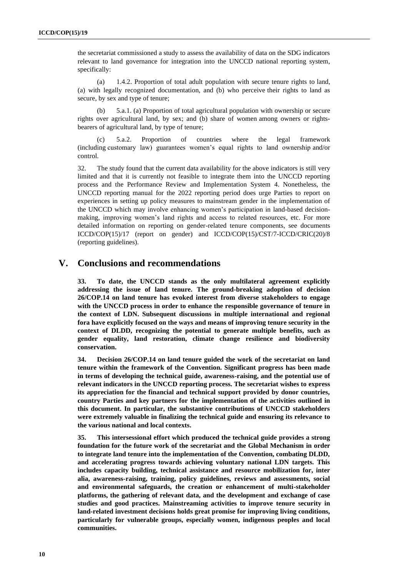the secretariat commissioned a study to assess the availability of data on the SDG indicators relevant to land governance for integration into the UNCCD national reporting system, specifically:

(a) 1.4.2. Proportion of total adult population with secure tenure rights to land, (a) with legally recognized documentation, and (b) who perceive their rights to land as secure, by sex and type of tenure;

(b) 5.a.1. (a) Proportion of total agricultural population with ownership or secure rights over agricultural land, by sex; and (b) share of women among owners or rightsbearers of agricultural land, by type of tenure;

(c) 5.a.2. Proportion of countries where the legal framework (including customary law) guarantees women's equal rights to land ownership and/or control.

32. The study found that the current data availability for the above indicators is still very limited and that it is currently not feasible to integrate them into the UNCCD reporting process and the Performance Review and Implementation System 4. Nonetheless, the UNCCD reporting manual for the 2022 reporting period does urge Parties to report on experiences in setting up policy measures to mainstream gender in the implementation of the UNCCD which may involve enhancing women's participation in land-based decisionmaking, improving women's land rights and access to related resources, etc. For more detailed information on reporting on gender-related tenure components, see documents ICCD/COP(15)/17 (report on gender) and ICCD/COP(15)/CST/7-ICCD/CRIC(20)/8 (reporting guidelines).

#### **V. Conclusions and recommendations**

**33. To date, the UNCCD stands as the only multilateral agreement explicitly addressing the issue of land tenure. The ground-breaking adoption of decision 26/COP.14 on land tenure has evoked interest from diverse stakeholders to engage with the UNCCD process in order to enhance the responsible governance of tenure in the context of LDN. Subsequent discussions in multiple international and regional fora have explicitly focused on the ways and means of improving tenure security in the context of DLDD, recognizing the potential to generate multiple benefits, such as gender equality, land restoration, climate change resilience and biodiversity conservation.** 

**34. Decision 26/COP.14 on land tenure guided the work of the secretariat on land tenure within the framework of the Convention. Significant progress has been made in terms of developing the technical guide, awareness-raising, and the potential use of relevant indicators in the UNCCD reporting process. The secretariat wishes to express its appreciation for the financial and technical support provided by donor countries, country Parties and key partners for the implementation of the activities outlined in this document. In particular, the substantive contributions of UNCCD stakeholders were extremely valuable in finalizing the technical guide and ensuring its relevance to the various national and local contexts.**

**35. This intersessional effort which produced the technical guide provides a strong foundation for the future work of the secretariat and the Global Mechanism in order to integrate land tenure into the implementation of the Convention, combating DLDD, and accelerating progress towards achieving voluntary national LDN targets. This includes capacity building, technical assistance and resource mobilization for, inter alia, awareness-raising, training, policy guidelines, reviews and assessments, social and environmental safeguards, the creation or enhancement of multi-stakeholder platforms, the gathering of relevant data, and the development and exchange of case studies and good practices. Mainstreaming activities to improve tenure security in land-related investment decisions holds great promise for improving living conditions, particularly for vulnerable groups, especially women, indigenous peoples and local communities.**